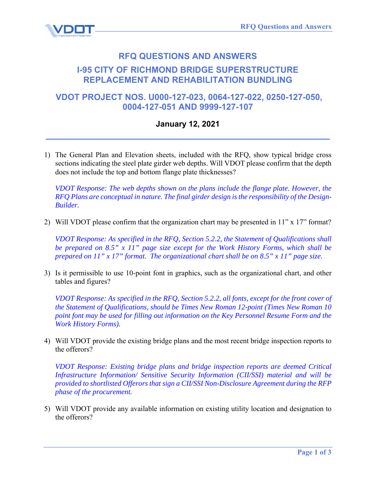

## **RFQ QUESTIONS AND ANSWERS I-95 CITY OF RICHMOND BRIDGE SUPERSTRUCTURE REPLACEMENT AND REHABILITATION BUNDLING**

## **VDOT PROJECT NOS. U000-127-023, 0064-127-022, 0250-127-050, 0004-127-051 AND 9999-127-107**

## **January 12, 2021 \_\_\_\_\_\_\_\_\_\_\_\_\_\_\_\_\_\_\_\_\_\_\_\_\_\_\_\_\_\_\_\_\_\_\_\_\_\_\_\_\_\_\_\_\_\_\_\_\_\_\_\_**

1) The General Plan and Elevation sheets, included with the RFQ, show typical bridge cross sections indicating the steel plate girder web depths. Will VDOT please confirm that the depth does not include the top and bottom flange plate thicknesses?

*VDOT Response: The web depths shown on the plans include the flange plate. However, the RFQ Plans are conceptual in nature. The final girder design is the responsibility of the Design-Builder.* 

2) Will VDOT please confirm that the organization chart may be presented in 11" x 17" format?

*VDOT Response: As specified in the RFQ, Section 5.2.2, the Statement of Qualifications shall be prepared on 8.5" x 11" page size except for the Work History Forms, which shall be prepared on 11" x 17" format. The organizational chart shall be on 8.5" x 11" page size.* 

3) Is it permissible to use 10-point font in graphics, such as the organizational chart, and other tables and figures?

*VDOT Response: As specified in the RFQ, Section 5.2.2, all fonts, except for the front cover of the Statement of Qualifications, should be Times New Roman 12-point (Times New Roman 10 point font may be used for filling out information on the Key Personnel Resume Form and the Work History Forms).* 

4) Will VDOT provide the existing bridge plans and the most recent bridge inspection reports to the offerors?

*VDOT Response: Existing bridge plans and bridge inspection reports are deemed Critical Infrastructure Information/ Sensitive Security Information (CII/SSI) material and will be provided to shortlisted Offerors that sign a CII/SSI Non-Disclosure Agreement during the RFP phase of the procurement.* 

5) Will VDOT provide any available information on existing utility location and designation to the offerors?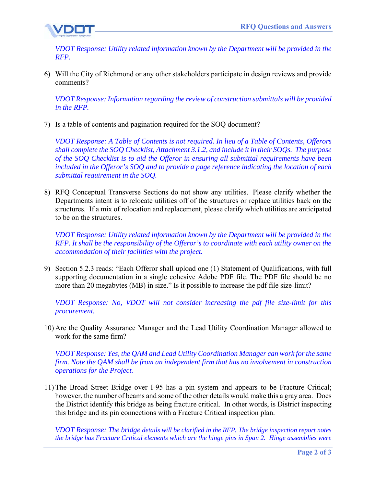

*VDOT Response: Utility related information known by the Department will be provided in the RFP.* 

6) Will the City of Richmond or any other stakeholders participate in design reviews and provide comments?

*VDOT Response: Information regarding the review of construction submittals will be provided in the RFP.* 

7) Is a table of contents and pagination required for the SOQ document?

*VDOT Response: A Table of Contents is not required. In lieu of a Table of Contents, Offerors shall complete the SOQ Checklist, Attachment 3.1.2, and include it in their SOQs. The purpose of the SOQ Checklist is to aid the Offeror in ensuring all submittal requirements have been included in the Offeror's SOQ and to provide a page reference indicating the location of each submittal requirement in the SOQ.* 

8) RFQ Conceptual Transverse Sections do not show any utilities. Please clarify whether the Departments intent is to relocate utilities off of the structures or replace utilities back on the structures. If a mix of relocation and replacement, please clarify which utilities are anticipated to be on the structures.

*VDOT Response: Utility related information known by the Department will be provided in the RFP. It shall be the responsibility of the Offeror's to coordinate with each utility owner on the accommodation of their facilities with the project.* 

9) Section 5.2.3 reads: "Each Offeror shall upload one (1) Statement of Qualifications, with full supporting documentation in a single cohesive Adobe PDF file. The PDF file should be no more than 20 megabytes (MB) in size." Is it possible to increase the pdf file size-limit?

*VDOT Response: No, VDOT will not consider increasing the pdf file size-limit for this procurement.* 

10) Are the Quality Assurance Manager and the Lead Utility Coordination Manager allowed to work for the same firm?

*VDOT Response: Yes, the QAM and Lead Utility Coordination Manager can work for the same firm. Note the QAM shall be from an independent firm that has no involvement in construction operations for the Project.* 

11) The Broad Street Bridge over I-95 has a pin system and appears to be Fracture Critical; however, the number of beams and some of the other details would make this a gray area. Does the District identify this bridge as being fracture critical. In other words, is District inspecting this bridge and its pin connections with a Fracture Critical inspection plan.

*VDOT Response: The bridge details will be clarified in the RFP. The bridge inspection report notes the bridge has Fracture Critical elements which are the hinge pins in Span 2. Hinge assemblies were*